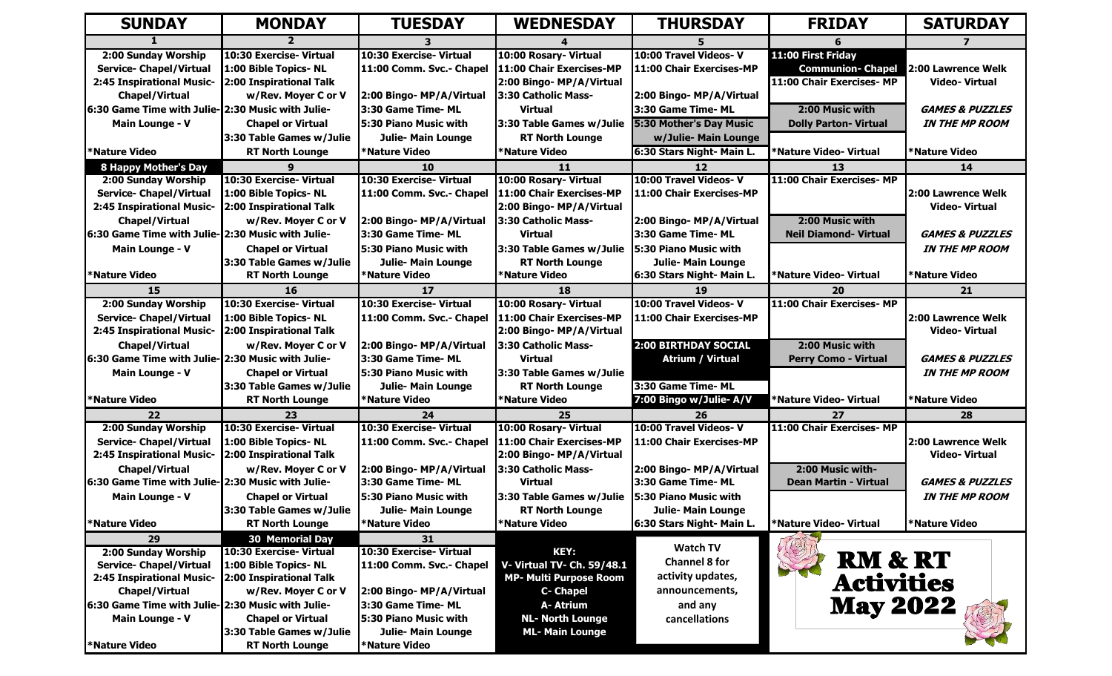| <b>SUNDAY</b>                                     | <b>MONDAY</b>            | <b>TUESDAY</b>               | <b>WEDNESDAY</b>              | <b>THURSDAY</b>                | <b>FRIDAY</b>                | <b>SATURDAY</b>            |
|---------------------------------------------------|--------------------------|------------------------------|-------------------------------|--------------------------------|------------------------------|----------------------------|
|                                                   |                          |                              |                               |                                |                              |                            |
| 2:00 Sunday Worship                               | 10:30 Exercise- Virtual  | 10:30 Exercise- Virtual      | 10:00 Rosary- Virtual         | 10:00 Travel Videos-V          | 11:00 First Friday           |                            |
| Service- Chapel/Virtual                           | 1:00 Bible Topics-NL     | 11:00 Comm. Svc.- Chapel     | 11:00 Chair Exercises-MP      | 11:00 Chair Exercises-MP       | <b>Communion- Chapel</b>     | 2:00 Lawrence Welk         |
| 2:45 Inspirational Music-                         | 2:00 Inspirational Talk  |                              | 2:00 Bingo- MP/A/Virtual      |                                | 11:00 Chair Exercises- MP    | <b>Video-Virtual</b>       |
| <b>Chapel/Virtual</b>                             | w/Rev. Moyer C or V      | 2:00 Bingo- MP/A/Virtual     | 3:30 Catholic Mass-           | 2:00 Bingo- MP/A/Virtual       |                              |                            |
| 6:30 Game Time with Julie- 2:30 Music with Julie- |                          | 3:30 Game Time- ML           | <b>Virtual</b>                | 3:30 Game Time- ML             | 2:00 Music with              | <b>GAMES &amp; PUZZLES</b> |
| Main Lounge - V                                   | <b>Chapel or Virtual</b> | 5:30 Piano Music with        | 3:30 Table Games w/Julie      | <b>5:30 Mother's Day Music</b> | <b>Dolly Parton- Virtual</b> | <b>IN THE MP ROOM</b>      |
|                                                   | 3:30 Table Games w/Julie | <b>Julie- Main Lounge</b>    | <b>RT North Lounge</b>        | w/Julie- Main Lounge           |                              |                            |
| *Nature Video                                     | <b>RT North Lounge</b>   | *Nature Video                | *Nature Video                 | 6:30 Stars Night- Main L.      | *Nature Video- Virtual       | *Nature Video              |
| <b>8 Happy Mother's Day</b>                       |                          | <b>10</b>                    | 11                            | $12 \ \mathrm{$                | 13                           | 14                         |
| 2:00 Sunday Worship                               | 10:30 Exercise- Virtual  | 10:30 Exercise- Virtual      | 10:00 Rosary- Virtual         | 10:00 Travel Videos-V          | 11:00 Chair Exercises- MP    |                            |
| Service- Chapel/Virtual                           | 1:00 Bible Topics- NL    | 11:00 Comm. Svc.- Chapel     | 11:00 Chair Exercises-MP      | 11:00 Chair Exercises-MP       |                              | 2:00 Lawrence Welk         |
| 2:45 Inspirational Music-                         | 2:00 Inspirational Talk  |                              | 2:00 Bingo- MP/A/Virtual      |                                |                              | <b>Video-Virtual</b>       |
| <b>Chapel/Virtual</b>                             | w/Rev. Moyer C or V      | 2:00 Bingo- MP/A/Virtual     | <b>3:30 Catholic Mass-</b>    | 2:00 Bingo- MP/A/Virtual       | 2:00 Music with              |                            |
| 6:30 Game Time with Julie- 2:30 Music with Julie- |                          | 3:30 Game Time- ML           | <b>Virtual</b>                | 3:30 Game Time- ML             | <b>Neil Diamond- Virtual</b> | <b>GAMES &amp; PUZZLES</b> |
| Main Lounge - V                                   | <b>Chapel or Virtual</b> | <b>5:30 Piano Music with</b> | 3:30 Table Games w/Julie      | <b>15:30 Piano Music with</b>  |                              | <b>IN THE MP ROOM</b>      |
|                                                   | 3:30 Table Games w/Julie | Julie- Main Lounge           | <b>RT North Lounge</b>        | <b>Julie- Main Lounge</b>      |                              |                            |
| *Nature Video                                     | <b>RT North Lounge</b>   | *Nature Video                | <b>*Nature Video</b>          | 6:30 Stars Night- Main L.      | *Nature Video- Virtual       | *Nature Video              |
| 15                                                | 16                       | 17                           | 18                            | 19                             | 20                           | 21                         |
| 2:00 Sunday Worship                               | 10:30 Exercise- Virtual  | 10:30 Exercise- Virtual      | 10:00 Rosary- Virtual         | 10:00 Travel Videos-V          | 11:00 Chair Exercises- MP    |                            |
| <b>Service- Chapel/Virtual</b>                    | 1:00 Bible Topics-NL     | 11:00 Comm. Svc.- Chapel     | 11:00 Chair Exercises-MP      | 11:00 Chair Exercises-MP       |                              | 2:00 Lawrence Welk         |
| 2:45 Inspirational Music-                         | 2:00 Inspirational Talk  |                              | 2:00 Bingo- MP/A/Virtual      |                                |                              | <b>Video-Virtual</b>       |
| <b>Chapel/Virtual</b>                             | w/Rev. Moyer C or V      | 2:00 Bingo- MP/A/Virtual     | 3:30 Catholic Mass-           | 2:00 BIRTHDAY SOCIAL           | 2:00 Music with              |                            |
| 6:30 Game Time with Julie- 2:30 Music with Julie- |                          | 3:30 Game Time- ML           | <b>Virtual</b>                | <b>Atrium / Virtual</b>        | <b>Perry Como - Virtual</b>  | <b>GAMES &amp; PUZZLES</b> |
| Main Lounge - V                                   | <b>Chapel or Virtual</b> | 5:30 Piano Music with        | 3:30 Table Games w/Julie      |                                |                              | <b>IN THE MP ROOM</b>      |
|                                                   | 3:30 Table Games w/Julie | Julie- Main Lounge           | <b>RT North Lounge</b>        | 3:30 Game Time- ML             |                              |                            |
| *Nature Video                                     | <b>RT North Lounge</b>   | <b>*Nature Video</b>         | <b>*Nature Video</b>          | 7:00 Bingo w/Julie- A/V        | *Nature Video- Virtual       | <b>*Nature Video</b>       |
| 22                                                | 23                       | 24                           | 25                            | 26                             | 27                           | 28                         |
| 2:00 Sunday Worship                               | 10:30 Exercise- Virtual  | 10:30 Exercise- Virtual      | 10:00 Rosary- Virtual         | 10:00 Travel Videos-V          | 11:00 Chair Exercises-MP     |                            |
| <b>Service- Chapel/Virtual</b>                    | 1:00 Bible Topics- NL    | 11:00 Comm. Svc.- Chapel     | 11:00 Chair Exercises-MP      | 11:00 Chair Exercises-MP       |                              | 2:00 Lawrence Welk         |
| 2:45 Inspirational Music-                         | 2:00 Inspirational Talk  |                              | 2:00 Bingo- MP/A/Virtual      |                                |                              | <b>Video-Virtual</b>       |
| <b>Chapel/Virtual</b>                             | w/Rev. Moyer C or V      | 2:00 Bingo- MP/A/Virtual     | 3:30 Catholic Mass-           | 2:00 Bingo- MP/A/Virtual       | 2:00 Music with-             |                            |
| 6:30 Game Time with Julie- 2:30 Music with Julie- |                          | 3:30 Game Time- ML           | <b>Virtual</b>                | 3:30 Game Time- ML             | <b>Dean Martin - Virtual</b> | <b>GAMES &amp; PUZZLES</b> |
| Main Lounge - V                                   | <b>Chapel or Virtual</b> | 5:30 Piano Music with        | 3:30 Table Games w/Julie      | <b>15:30 Piano Music with</b>  |                              | <b>IN THE MP ROOM</b>      |
|                                                   | 3:30 Table Games w/Julie | Julie- Main Lounge           | <b>RT North Lounge</b>        | Julie- Main Lounge             |                              |                            |
| *Nature Video                                     | <b>RT North Lounge</b>   | *Nature Video                | *Nature Video                 | 6:30 Stars Night- Main L.      | *Nature Video- Virtual       | *Nature Video              |
| 29                                                | <b>30 Memorial Day</b>   | 31                           |                               | <b>Watch TV</b>                |                              |                            |
| 2:00 Sunday Worship                               | 10:30 Exercise- Virtual  | 10:30 Exercise- Virtual      | KEY:                          | <b>Channel 8 for</b>           | <b>RM &amp; RT</b>           |                            |
| <b>Service- Chapel/Virtual</b>                    | 1:00 Bible Topics-NL     | 11:00 Comm. Svc.- Chapel     | V- Virtual TV- Ch. 59/48.1    | activity updates,              |                              |                            |
| 2:45 Inspirational Music-                         | 2:00 Inspirational Talk  |                              | <b>MP- Multi Purpose Room</b> |                                | <b>Activities</b>            |                            |
| <b>Chapel/Virtual</b>                             | w/Rev. Moyer C or V      | 2:00 Bingo- MP/A/Virtual     | <b>C- Chapel</b>              | announcements,                 |                              |                            |
| 6:30 Game Time with Julie- 2:30 Music with Julie- |                          | 3:30 Game Time- ML           | A- Atrium                     | and any                        | <b>May 2022</b>              |                            |
| Main Lounge - V                                   | <b>Chapel or Virtual</b> | 5:30 Piano Music with        | <b>NL- North Lounge</b>       | cancellations                  |                              |                            |
|                                                   | 3:30 Table Games w/Julie | <b>Julie- Main Lounge</b>    | <b>ML- Main Lounge</b>        |                                |                              |                            |
| <b>*Nature Video</b>                              | <b>RT North Lounge</b>   | <b>*Nature Video</b>         |                               |                                |                              |                            |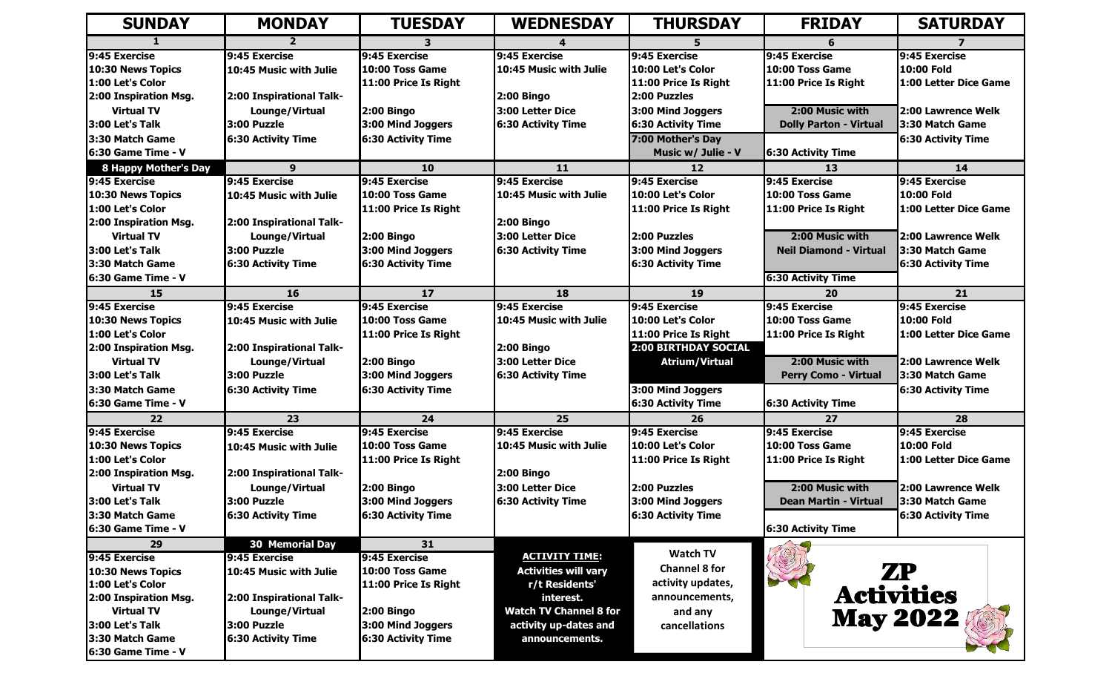| <b>SUNDAY</b>                         | <b>MONDAY</b>                 | <b>TUESDAY</b>                                 | <b>WEDNESDAY</b>              | <b>THURSDAY</b>           | <b>FRIDAY</b>                 | <b>SATURDAY</b>           |
|---------------------------------------|-------------------------------|------------------------------------------------|-------------------------------|---------------------------|-------------------------------|---------------------------|
|                                       |                               |                                                |                               |                           |                               |                           |
| 9:45 Exercise                         | 9:45 Exercise                 | 9:45 Exercise                                  | 9:45 Exercise                 | 9:45 Exercise             | 9:45 Exercise                 | 9:45 Exercise             |
| 10:30 News Topics                     | 10:45 Music with Julie        | 10:00 Toss Game                                | 10:45 Music with Julie        | 10:00 Let's Color         | 10:00 Toss Game               | 10:00 Fold                |
| 1:00 Let's Color                      |                               | 11:00 Price Is Right                           |                               | 11:00 Price Is Right      | 11:00 Price Is Right          | 11:00 Letter Dice Game    |
| 2:00 Inspiration Msg.                 | 2:00 Inspirational Talk-      |                                                | <b>2:00 Bingo</b>             | 2:00 Puzzles              |                               |                           |
| <b>Virtual TV</b>                     | Lounge/Virtual                | <b>2:00 Bingo</b>                              | 3:00 Letter Dice              | 3:00 Mind Joggers         | 2:00 Music with               | 2:00 Lawrence Welk        |
| 3:00 Let's Talk                       | 3:00 Puzzle                   | 3:00 Mind Joggers                              | <b>6:30 Activity Time</b>     | <b>6:30 Activity Time</b> | <b>Dolly Parton - Virtual</b> | 3:30 Match Game           |
| 3:30 Match Game                       | <b>6:30 Activity Time</b>     | 6:30 Activity Time                             |                               | 7:00 Mother's Day         |                               | <b>6:30 Activity Time</b> |
| 16:30 Game Time - V                   |                               |                                                |                               | Music w/ Julie - V        | <b>6:30 Activity Time</b>     |                           |
| <b>8 Happy Mother's Day</b>           | 9                             | <b>10</b>                                      | 11                            | 12                        | 13                            | 14                        |
| 9:45 Exercise                         | 9:45 Exercise                 | 9:45 Exercise                                  | 9:45 Exercise                 | 9:45 Exercise             | 9:45 Exercise                 | 9:45 Exercise             |
| 10:30 News Topics                     | 10:45 Music with Julie        | 10:00 Toss Game                                | 10:45 Music with Julie        | 10:00 Let's Color         | 10:00 Toss Game               | 10:00 Fold                |
| 1:00 Let's Color                      |                               | 11:00 Price Is Right                           |                               | 11:00 Price Is Right      | 11:00 Price Is Right          | 11:00 Letter Dice Game    |
| 2:00 Inspiration Msg.                 | 2:00 Inspirational Talk-      |                                                | <b>2:00 Bingo</b>             |                           |                               |                           |
| <b>Virtual TV</b>                     | Lounge/Virtual                | <b>2:00 Bingo</b>                              | 3:00 Letter Dice              | 2:00 Puzzles              | 2:00 Music with               | 2:00 Lawrence Welk        |
| 3:00 Let's Talk                       | 3:00 Puzzle                   | 3:00 Mind Joggers                              | <b>6:30 Activity Time</b>     | 3:00 Mind Joggers         | <b>Neil Diamond - Virtual</b> | 3:30 Match Game           |
| 3:30 Match Game                       | <b>6:30 Activity Time</b>     | <b>6:30 Activity Time</b>                      |                               | <b>6:30 Activity Time</b> |                               | <b>6:30 Activity Time</b> |
| 6:30 Game Time - V                    |                               |                                                |                               |                           | <b>6:30 Activity Time</b>     |                           |
| 15                                    | 16                            | 17                                             | 18                            | 19                        | 20                            | 21                        |
| 9:45 Exercise                         | 9:45 Exercise                 | 9:45 Exercise                                  | 9:45 Exercise                 | 9:45 Exercise             | 9:45 Exercise                 | 9:45 Exercise             |
| 10:30 News Topics                     | 10:45 Music with Julie        | 10:00 Toss Game                                | 10:45 Music with Julie        | 10:00 Let's Color         | 10:00 Toss Game               | 10:00 Fold                |
| 1:00 Let's Color                      |                               | 11:00 Price Is Right                           |                               | 11:00 Price Is Right      | 11:00 Price Is Right          | 1:00 Letter Dice Game     |
| 2:00 Inspiration Msg.                 | 2:00 Inspirational Talk-      |                                                | <b>2:00 Bingo</b>             | 2:00 BIRTHDAY SOCIAL      |                               |                           |
| <b>Virtual TV</b>                     | Lounge/Virtual                | <b>2:00 Bingo</b>                              | 3:00 Letter Dice              | <b>Atrium/Virtual</b>     | 2:00 Music with               | 2:00 Lawrence Welk        |
| 3:00 Let's Talk                       | 3:00 Puzzle                   | 3:00 Mind Joggers                              | <b>6:30 Activity Time</b>     |                           | <b>Perry Como - Virtual</b>   | 3:30 Match Game           |
| 3:30 Match Game                       | <b>6:30 Activity Time</b>     | <b>6:30 Activity Time</b>                      |                               | 3:00 Mind Joggers         |                               | <b>6:30 Activity Time</b> |
| 6:30 Game Time - V                    |                               |                                                |                               | <b>6:30 Activity Time</b> | <b>6:30 Activity Time</b>     |                           |
| 22                                    | 23                            | 24                                             | 25                            | 26                        | 27                            | 28                        |
| 9:45 Exercise                         | 9:45 Exercise                 | 9:45 Exercise                                  | 9:45 Exercise                 | 9:45 Exercise             | 9:45 Exercise                 | 9:45 Exercise             |
| 10:30 News Topics                     | 10:45 Music with Julie        | 10:00 Toss Game                                | 10:45 Music with Julie        | 10:00 Let's Color         | 10:00 Toss Game               | 10:00 Fold                |
| 1:00 Let's Color                      |                               | 11:00 Price Is Right                           |                               | 11:00 Price Is Right      | 11:00 Price Is Right          | 1:00 Letter Dice Game     |
| 2:00 Inspiration Msg.                 | 2:00 Inspirational Talk-      |                                                | <b>2:00 Bingo</b>             |                           |                               |                           |
| <b>Virtual TV</b>                     | Lounge/Virtual                | <b>2:00 Bingo</b>                              | 3:00 Letter Dice              | 2:00 Puzzles              | 2:00 Music with               | 2:00 Lawrence Welk        |
| 3:00 Let's Talk                       | 3:00 Puzzle                   | 3:00 Mind Joggers                              | <b>6:30 Activity Time</b>     | 3:00 Mind Joggers         | <b>Dean Martin - Virtual</b>  | 3:30 Match Game           |
| 3:30 Match Game                       | <b>6:30 Activity Time</b>     | <b>6:30 Activity Time</b>                      |                               | <b>6:30 Activity Time</b> |                               | <b>6:30 Activity Time</b> |
| 6:30 Game Time - V                    |                               |                                                |                               |                           | <b>6:30 Activity Time</b>     |                           |
| 29                                    | <b>30 Memorial Day</b>        | 31                                             |                               | <b>Watch TV</b>           |                               |                           |
| 9:45 Exercise                         | 9:45 Exercise                 | 9:45 Exercise                                  | <b>ACTIVITY TIME:</b>         | <b>Channel 8 for</b>      |                               |                           |
| 10:30 News Topics<br>1:00 Let's Color | 10:45 Music with Julie        | 10:00 Toss Game<br>11:00 Price Is Right        | <b>Activities will vary</b>   | activity updates,         |                               | <b>ZP</b>                 |
| 2:00 Inspiration Msg.                 |                               |                                                | r/t Residents'<br>interest.   | announcements,            |                               | <b>Activities</b>         |
| <b>Virtual TV</b>                     | 2:00 Inspirational Talk-      |                                                | <b>Watch TV Channel 8 for</b> |                           |                               |                           |
| 3:00 Let's Talk                       | Lounge/Virtual<br>3:00 Puzzle | <b>2:00 Bingo</b>                              |                               | and any                   |                               | <b>May 2022</b>           |
| 13:30 Match Game                      | <b>6:30 Activity Time</b>     | 3:00 Mind Joggers<br><b>6:30 Activity Time</b> | activity up-dates and         | cancellations             |                               |                           |
|                                       |                               |                                                | announcements.                |                           |                               |                           |
| 6:30 Game Time - V                    |                               |                                                |                               |                           |                               |                           |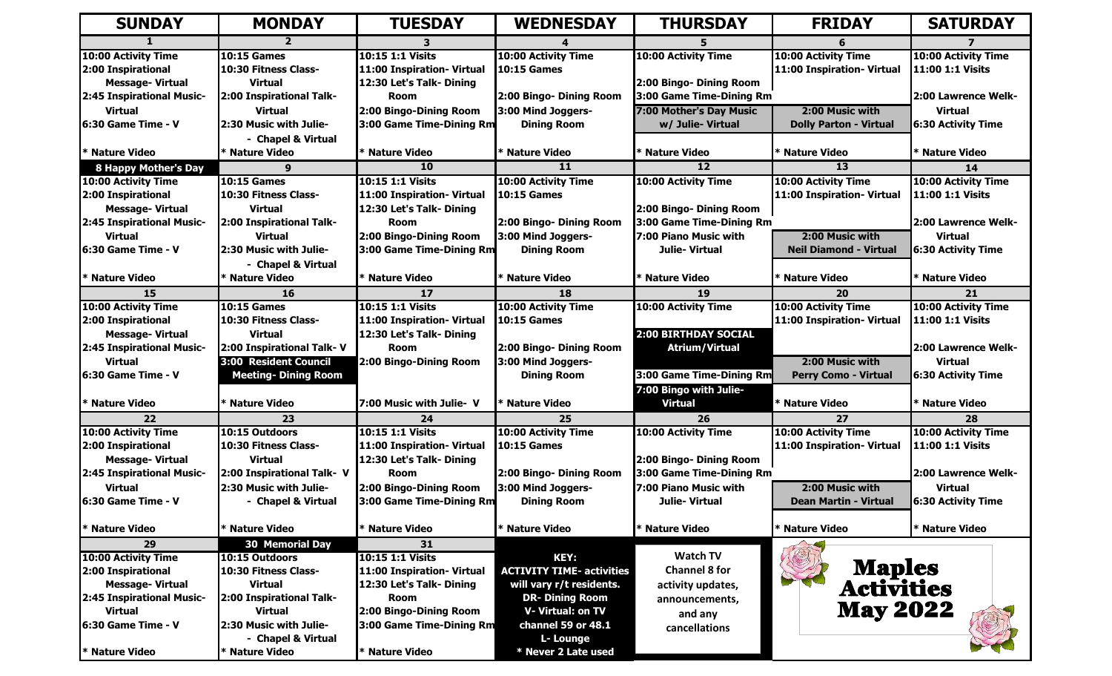| <b>SUNDAY</b>               | <b>MONDAY</b>               | <b>TUESDAY</b>             | <b>WEDNESDAY</b>                 | <b>THURSDAY</b>          | <b>FRIDAY</b>                 | <b>SATURDAY</b>             |
|-----------------------------|-----------------------------|----------------------------|----------------------------------|--------------------------|-------------------------------|-----------------------------|
|                             |                             |                            |                                  |                          |                               |                             |
| 10:00 Activity Time         | <b>10:15 Games</b>          | 10:15 1:1 Visits           | 10:00 Activity Time              | 10:00 Activity Time      | 10:00 Activity Time           | 10:00 Activity Time         |
| 2:00 Inspirational          | 10:30 Fitness Class-        | 11:00 Inspiration- Virtual | <b>10:15 Games</b>               |                          | 11:00 Inspiration- Virtual    | 11:00 1:1 Visits            |
| <b>Message-Virtual</b>      | <b>Virtual</b>              | 12:30 Let's Talk- Dining   |                                  | 2:00 Bingo- Dining Room  |                               |                             |
| 2:45 Inspirational Music-   | 2:00 Inspirational Talk-    | <b>Room</b>                | 2:00 Bingo- Dining Room          | 3:00 Game Time-Dining Rm |                               | 2:00 Lawrence Welk-         |
| <b>Virtual</b>              | <b>Virtual</b>              | 2:00 Bingo-Dining Room     | 3:00 Mind Joggers-               | 7:00 Mother's Day Music  | 2:00 Music with               | <b>Virtual</b>              |
| l6:30 Game Time - V         | 2:30 Music with Julie-      | 3:00 Game Time-Dining Rm   | <b>Dining Room</b>               | w/ Julie- Virtual        | <b>Dolly Parton - Virtual</b> | <b>6:30 Activity Time</b>   |
|                             | - Chapel & Virtual          |                            |                                  |                          |                               |                             |
| * Nature Video              | * Nature Video              | * Nature Video             | * Nature Video                   | <b>ENature Video</b>     | * Nature Video                | * Nature Video              |
| <b>8 Happy Mother's Day</b> | $\Omega$                    | 10                         | 11                               | 12 <sub>2</sub>          | 13                            | 14                          |
| 10:00 Activity Time         | <b>10:15 Games</b>          | 10:15 1:1 Visits           | 10:00 Activity Time              | 10:00 Activity Time      | 10:00 Activity Time           | 10:00 Activity Time         |
| 2:00 Inspirational          | 10:30 Fitness Class-        | 11:00 Inspiration- Virtual | <b>10:15 Games</b>               |                          | 11:00 Inspiration- Virtual    | 11:00 1:1 Visits            |
| <b>Message-Virtual</b>      | <b>Virtual</b>              | 12:30 Let's Talk- Dining   |                                  | 2:00 Bingo- Dining Room  |                               |                             |
| 2:45 Inspirational Music-   | 2:00 Inspirational Talk-    | <b>Room</b>                | 2:00 Bingo- Dining Room          | 3:00 Game Time-Dining Rm |                               | <b>12:00 Lawrence Welk-</b> |
| <b>Virtual</b>              | <b>Virtual</b>              | 2:00 Bingo-Dining Room     | 3:00 Mind Joggers-               | 7:00 Piano Music with    | 2:00 Music with               | <b>Virtual</b>              |
| 16:30 Game Time - V         | 2:30 Music with Julie-      | 3:00 Game Time-Dining Rm   | <b>Dining Room</b>               | Julie- Virtual           | <b>Neil Diamond - Virtual</b> | <b>6:30 Activity Time</b>   |
|                             | - Chapel & Virtual          |                            |                                  |                          |                               |                             |
| * Nature Video              | * Nature Video              | * Nature Video             | * Nature Video                   | * Nature Video           | * Nature Video                | * Nature Video              |
| 15                          | <b>16</b>                   | 17                         | 18                               | 19                       | 20                            | 21                          |
| 10:00 Activity Time         | <b>10:15 Games</b>          | 10:15 1:1 Visits           | 10:00 Activity Time              | 10:00 Activity Time      | 10:00 Activity Time           | 10:00 Activity Time         |
| 2:00 Inspirational          | 10:30 Fitness Class-        | 11:00 Inspiration- Virtual | <b>10:15 Games</b>               |                          | 11:00 Inspiration- Virtual    | <b>11:00 1:1 Visits</b>     |
| <b>Message-Virtual</b>      | <b>Virtual</b>              | 12:30 Let's Talk- Dining   |                                  | 2:00 BIRTHDAY SOCIAL     |                               |                             |
| 2:45 Inspirational Music-   | 2:00 Inspirational Talk-V   | <b>Room</b>                | 2:00 Bingo- Dining Room          | <b>Atrium/Virtual</b>    |                               | 2:00 Lawrence Welk-         |
| <b>Virtual</b>              | 3:00 Resident Council       | 2:00 Bingo-Dining Room     | 3:00 Mind Joggers-               |                          | 2:00 Music with               | <b>Virtual</b>              |
| 6:30 Game Time - V          | <b>Meeting- Dining Room</b> |                            | <b>Dining Room</b>               | 3:00 Game Time-Dining Rm | <b>Perry Como - Virtual</b>   | <b>6:30 Activity Time</b>   |
|                             |                             |                            |                                  | 7:00 Bingo with Julie-   |                               |                             |
| * Nature Video              | * Nature Video              | 7:00 Music with Julie- V   | * Nature Video                   | <b>Virtual</b>           | * Nature Video                | * Nature Video              |
| 22                          | 23                          | 24                         | 25                               | 26                       | 27                            | 28                          |
| 10:00 Activity Time         | 10:15 Outdoors              | 10:15 1:1 Visits           | 10:00 Activity Time              | 10:00 Activity Time      | 10:00 Activity Time           | 10:00 Activity Time         |
| 2:00 Inspirational          | 10:30 Fitness Class-        | 11:00 Inspiration- Virtual | <b>10:15 Games</b>               |                          | 11:00 Inspiration- Virtual    | 11:00 1:1 Visits            |
| <b>Message-Virtual</b>      | <b>Virtual</b>              | 12:30 Let's Talk- Dining   |                                  | 2:00 Bingo- Dining Room  |                               |                             |
| 2:45 Inspirational Music-   | 2:00 Inspirational Talk- V  | <b>Room</b>                | 2:00 Bingo- Dining Room          | 3:00 Game Time-Dining Rm |                               | 2:00 Lawrence Welk-         |
| <b>Virtual</b>              | 2:30 Music with Julie-      | 2:00 Bingo-Dining Room     | 3:00 Mind Joggers-               | 7:00 Piano Music with    | 2:00 Music with               | <b>Virtual</b>              |
| 16:30 Game Time - V         | - Chapel & Virtual          | 3:00 Game Time-Dining Rm   | <b>Dining Room</b>               | Julie-Virtual            | <b>Dean Martin - Virtual</b>  | 6:30 Activity Time          |
|                             |                             |                            |                                  |                          |                               |                             |
| * Nature Video              | * Nature Video              | * Nature Video             | * Nature Video                   | <b>Nature Video</b>      | * Nature Video                | * Nature Video              |
| 29                          | <b>30 Memorial Day</b>      | 31                         |                                  |                          |                               |                             |
| <b>10:00 Activity Time</b>  | 10:15 Outdoors              | 10:15 1:1 Visits           | <b>KEY:</b>                      | <b>Watch TV</b>          |                               |                             |
| 2:00 Inspirational          | 10:30 Fitness Class-        | 11:00 Inspiration- Virtual | <b>ACTIVITY TIME- activities</b> | <b>Channel 8 for</b>     | <b>Maples<br/>Activities</b>  |                             |
| <b>Message-Virtual</b>      | Virtual                     | 12:30 Let's Talk- Dining   | will vary r/t residents.         | activity updates,        |                               |                             |
| 2:45 Inspirational Music-   | 2:00 Inspirational Talk-    | <b>Room</b>                | <b>DR- Dining Room</b>           | announcements,           |                               |                             |
| <b>Virtual</b>              | <b>Virtual</b>              | 2:00 Bingo-Dining Room     | <b>V- Virtual: on TV</b>         | and any                  | <b>May 2022</b>               |                             |
| 6:30 Game Time - V          | 2:30 Music with Julie-      | 3:00 Game Time-Dining Rm   | channel 59 or 48.1               | cancellations            |                               |                             |
|                             | - Chapel & Virtual          |                            | L- Lounge                        |                          |                               |                             |
| * Nature Video              | * Nature Video              | * Nature Video             | * Never 2 Late used              |                          |                               |                             |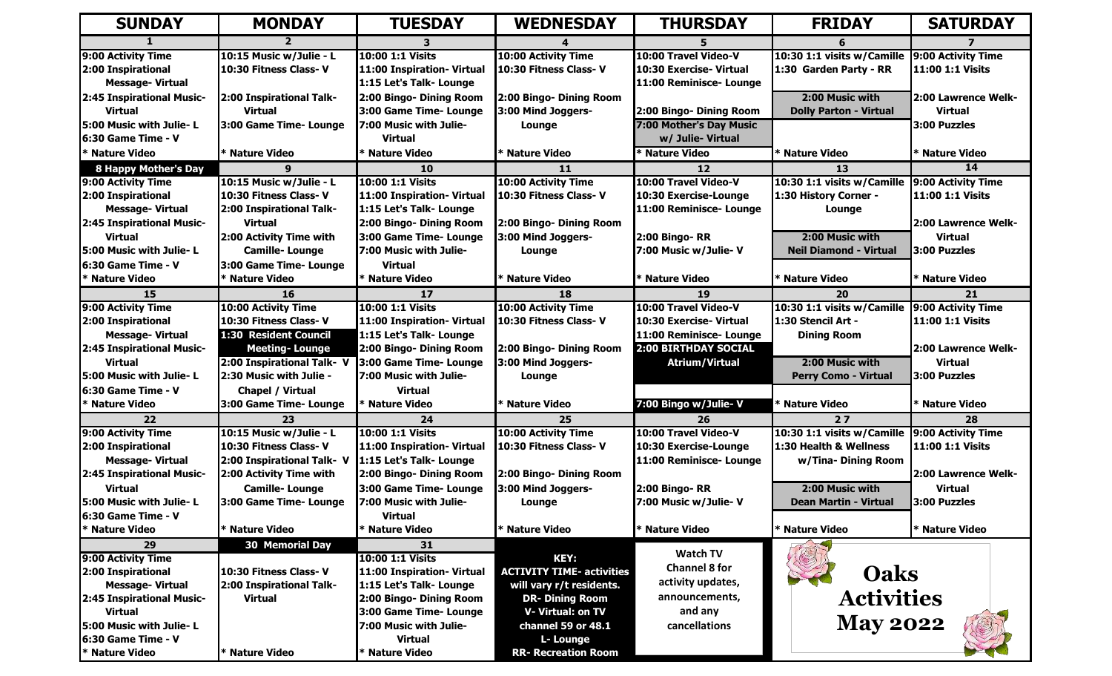| <b>SUNDAY</b>                                | <b>MONDAY</b>                                     | <b>TUESDAY</b>                                        | <b>WEDNESDAY</b>                                             | <b>THURSDAY</b>         | <b>FRIDAY</b>                 | <b>SATURDAY</b>         |
|----------------------------------------------|---------------------------------------------------|-------------------------------------------------------|--------------------------------------------------------------|-------------------------|-------------------------------|-------------------------|
|                                              |                                                   |                                                       |                                                              |                         |                               |                         |
| 9:00 Activity Time                           | 10:15 Music w/Julie - L                           | 10:00 1:1 Visits                                      | 10:00 Activity Time                                          | 10:00 Travel Video-V    | 10:30 1:1 visits w/Camille    | 9:00 Activity Time      |
| 2:00 Inspirational                           | 10:30 Fitness Class-V                             | 11:00 Inspiration- Virtual                            | 10:30 Fitness Class-V                                        | 10:30 Exercise- Virtual | 1:30 Garden Party - RR        | 11:00 1:1 Visits        |
| <b>Message-Virtual</b>                       |                                                   | 1:15 Let's Talk- Lounge                               |                                                              | 11:00 Reminisce- Lounge |                               |                         |
| 2:45 Inspirational Music-                    | 2:00 Inspirational Talk-                          | 2:00 Bingo- Dining Room                               | 2:00 Bingo- Dining Room                                      |                         | 2:00 Music with               | 2:00 Lawrence Welk-     |
| <b>Virtual</b>                               | <b>Virtual</b>                                    | 3:00 Game Time- Lounge                                | 3:00 Mind Joggers-                                           | 2:00 Bingo- Dining Room | <b>Dolly Parton - Virtual</b> | <b>Virtual</b>          |
| 5:00 Music with Julie-L                      | 3:00 Game Time- Lounge                            | 7:00 Music with Julie-                                | Lounge                                                       | 7:00 Mother's Day Music |                               | 3:00 Puzzles            |
| 16:30 Game Time - V                          |                                                   | <b>Virtual</b>                                        |                                                              | w/ Julie- Virtual       |                               |                         |
| * Nature Video                               | * Nature Video                                    | <b>Nature Video</b>                                   | * Nature Video                                               | * Nature Video          | * Nature Video                | * Nature Video          |
| <b>8 Happy Mother's Day</b>                  |                                                   | 10                                                    | 11                                                           | 12                      | 13                            | 14                      |
| 9:00 Activity Time                           | 10:15 Music w/Julie - L                           | 10:00 1:1 Visits                                      | <b>10:00 Activity Time</b>                                   | 10:00 Travel Video-V    | 10:30 1:1 visits w/Camille    | 9:00 Activity Time      |
| 2:00 Inspirational                           | 10:30 Fitness Class-V                             | 11:00 Inspiration- Virtual                            | 10:30 Fitness Class-V                                        | 10:30 Exercise-Lounge   | 1:30 History Corner -         | <b>11:00 1:1 Visits</b> |
| <b>Message-Virtual</b>                       | 2:00 Inspirational Talk-                          | 1:15 Let's Talk- Lounge                               |                                                              | 11:00 Reminisce- Lounge | Lounge                        |                         |
| 2:45 Inspirational Music-                    | <b>Virtual</b>                                    | 2:00 Bingo- Dining Room                               | 2:00 Bingo- Dining Room                                      |                         |                               | 2:00 Lawrence Welk-     |
| <b>Virtual</b>                               | 2:00 Activity Time with                           | 3:00 Game Time- Lounge                                | 3:00 Mind Joggers-                                           | <b>2:00 Bingo-RR</b>    | 2:00 Music with               | <b>Virtual</b>          |
| 5:00 Music with Julie- L                     | <b>Camille-Lounge</b>                             | 7:00 Music with Julie-                                | Lounge                                                       | 7:00 Music w/Julie-V    | <b>Neil Diamond - Virtual</b> | 3:00 Puzzles            |
| l6:30 Game Time - V                          | 3:00 Game Time- Lounge                            | <b>Virtual</b>                                        |                                                              |                         |                               |                         |
| * Nature Video                               | * Nature Video                                    | * Nature Video                                        | * Nature Video                                               | * Nature Video          | * Nature Video                | * Nature Video          |
| 15                                           | 16                                                | 17                                                    | 18                                                           | 19                      | 20                            | 21                      |
| 9:00 Activity Time                           | <b>10:00 Activity Time</b>                        | 10:00 1:1 Visits                                      | <b>10:00 Activity Time</b>                                   | 10:00 Travel Video-V    | 10:30 1:1 visits w/Camille    | 9:00 Activity Time      |
| 2:00 Inspirational                           | 10:30 Fitness Class-V                             | 11:00 Inspiration- Virtual                            | 10:30 Fitness Class-V                                        | 10:30 Exercise- Virtual | 1:30 Stencil Art -            | 11:00 1:1 Visits        |
| <b>Message-Virtual</b>                       | 1:30 Resident Council                             | 1:15 Let's Talk- Lounge                               |                                                              | 11:00 Reminisce- Lounge | <b>Dining Room</b>            |                         |
| 2:45 Inspirational Music-                    | <b>Meeting-Lounge</b>                             | 2:00 Bingo- Dining Room                               | 2:00 Bingo- Dining Room                                      | 2:00 BIRTHDAY SOCIAL    |                               | 2:00 Lawrence Welk-     |
| <b>Virtual</b>                               | 2:00 Inspirational Talk- V                        | 3:00 Game Time- Lounge                                | 3:00 Mind Joggers-                                           | <b>Atrium/Virtual</b>   | 2:00 Music with               | <b>Virtual</b>          |
| 5:00 Music with Julie-L                      | 2:30 Music with Julie -                           | 7:00 Music with Julie-                                | Lounge                                                       |                         | <b>Perry Como - Virtual</b>   | 3:00 Puzzles            |
| l6:30 Game Time - V                          | Chapel / Virtual                                  | <b>Virtual</b>                                        |                                                              |                         |                               |                         |
| * Nature Video                               | 3:00 Game Time- Lounge                            | * Nature Video                                        | * Nature Video                                               | 7:00 Bingo w/Julie- V   | * Nature Video                | * Nature Video          |
| 22                                           | 23                                                | 24                                                    | 25                                                           | 26                      | $27$                          | 28                      |
| 9:00 Activity Time                           | 10:15 Music w/Julie - L                           | 10:00 1:1 Visits                                      | 10:00 Activity Time                                          | 10:00 Travel Video-V    | 10:30 1:1 visits w/Camille    | 9:00 Activity Time      |
| 2:00 Inspirational                           | 10:30 Fitness Class-V                             | 11:00 Inspiration- Virtual                            | 10:30 Fitness Class-V                                        | 10:30 Exercise-Lounge   | 1:30 Health & Wellness        | 11:00 1:1 Visits        |
| <b>Message-Virtual</b>                       | 2:00 Inspirational Talk- V                        | 1:15 Let's Talk- Lounge                               |                                                              | 11:00 Reminisce- Lounge | w/Tina- Dining Room           |                         |
| 2:45 Inspirational Music-                    | 2:00 Activity Time with                           | 2:00 Bingo- Dining Room                               | 2:00 Bingo- Dining Room                                      |                         |                               | 2:00 Lawrence Welk-     |
| <b>Virtual</b>                               | <b>Camille-Lounge</b>                             | 3:00 Game Time- Lounge                                | 3:00 Mind Joggers-                                           | 2:00 Bingo-RR           | 2:00 Music with               | <b>Virtual</b>          |
| <b>15:00 Music with Julie- L</b>             | 3:00 Game Time- Lounge                            | 7:00 Music with Julie-                                | Lounge                                                       | 7:00 Music w/Julie-V    | <b>Dean Martin - Virtual</b>  | 3:00 Puzzles            |
| 6:30 Game Time - V                           |                                                   | <b>Virtual</b>                                        |                                                              |                         |                               |                         |
| * Nature Video                               | * Nature Video                                    | <b>Nature Video</b>                                   | * Nature Video                                               | * Nature Video          | * Nature Video                | * Nature Video          |
| 29                                           | 30 Memorial Day                                   | 31                                                    |                                                              | <b>Watch TV</b>         |                               |                         |
| 9:00 Activity Time                           |                                                   | 10:00 1:1 Visits                                      | <b>KEY:</b>                                                  | <b>Channel 8 for</b>    |                               |                         |
| 2:00 Inspirational<br><b>Message-Virtual</b> | 10:30 Fitness Class-V<br>2:00 Inspirational Talk- | 11:00 Inspiration- Virtual<br>1:15 Let's Talk- Lounge | <b>ACTIVITY TIME- activities</b><br>will vary r/t residents. | activity updates,       | <b>Oaks</b>                   |                         |
| 2:45 Inspirational Music-                    |                                                   |                                                       | <b>DR- Dining Room</b>                                       | announcements,          | <b>Activities</b>             |                         |
| <b>Virtual</b>                               | <b>Virtual</b>                                    | 2:00 Bingo- Dining Room<br>3:00 Game Time- Lounge     | V-Virtual: on TV                                             | and any                 |                               |                         |
| 5:00 Music with Julie-L                      |                                                   | 7:00 Music with Julie-                                | channel 59 or 48.1                                           | cancellations           | <b>May 2022</b>               |                         |
| 6:30 Game Time - V                           |                                                   | <b>Virtual</b>                                        | L- Lounge                                                    |                         |                               |                         |
| * Nature Video                               | * Nature Video                                    | * Nature Video                                        | <b>RR- Recreation Room</b>                                   |                         |                               |                         |
|                                              |                                                   |                                                       |                                                              |                         |                               |                         |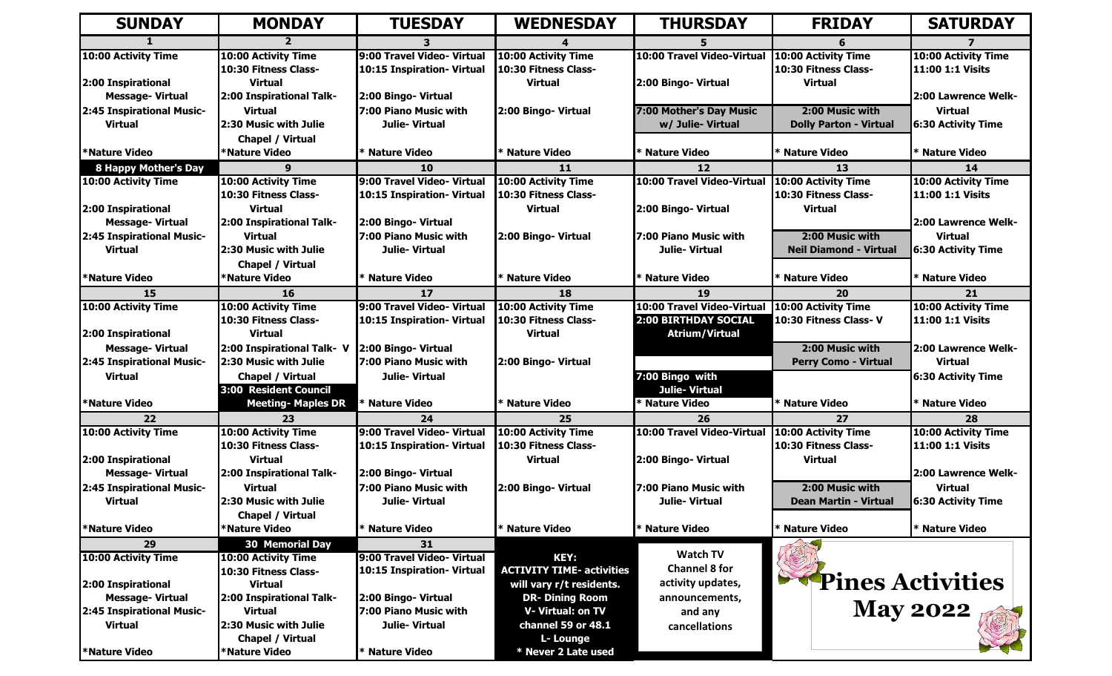| <b>SUNDAY</b>               | <b>MONDAY</b>              | <b>TUESDAY</b>                               | <b>WEDNESDAY</b>                 | <b>THURSDAY</b>                   | <b>FRIDAY</b>                 | <b>SATURDAY</b>           |
|-----------------------------|----------------------------|----------------------------------------------|----------------------------------|-----------------------------------|-------------------------------|---------------------------|
|                             |                            |                                              |                                  |                                   |                               |                           |
| 10:00 Activity Time         | 10:00 Activity Time        | 9:00 Travel Video- Virtual                   | 10:00 Activity Time              | 10:00 Travel Video-Virtual        | 10:00 Activity Time           | 10:00 Activity Time       |
|                             | 10:30 Fitness Class-       | 10:15 Inspiration- Virtual                   | 10:30 Fitness Class-             |                                   | 10:30 Fitness Class-          | 11:00 1:1 Visits          |
| 2:00 Inspirational          | <b>Virtual</b>             |                                              | <b>Virtual</b>                   | 2:00 Bingo- Virtual               | <b>Virtual</b>                |                           |
| <b>Message-Virtual</b>      | 2:00 Inspirational Talk-   | 2:00 Bingo-Virtual                           |                                  |                                   |                               | 2:00 Lawrence Welk-       |
| 2:45 Inspirational Music-   | <b>Virtual</b>             | 7:00 Piano Music with                        | 2:00 Bingo- Virtual              | 7:00 Mother's Day Music           | 2:00 Music with               | <b>Virtual</b>            |
| <b>Virtual</b>              | 2:30 Music with Julie      | Julie- Virtual                               |                                  | w/ Julie- Virtual                 | <b>Dolly Parton - Virtual</b> | 6:30 Activity Time        |
|                             | Chapel / Virtual           |                                              |                                  |                                   |                               |                           |
| *Nature Video               | *Nature Video              | * Nature Video                               | * Nature Video                   | * Nature Video                    | * Nature Video                | * Nature Video            |
| <b>8 Happy Mother's Day</b> |                            | 10                                           | 11                               | 12                                | 13                            | 14                        |
| 10:00 Activity Time         | <b>10:00 Activity Time</b> | 9:00 Travel Video- Virtual                   | 10:00 Activity Time              | 10:00 Travel Video-Virtual        | 10:00 Activity Time           | 10:00 Activity Time       |
|                             | 10:30 Fitness Class-       | 10:15 Inspiration- Virtual                   | 10:30 Fitness Class-             |                                   | 10:30 Fitness Class-          | 11:00 1:1 Visits          |
| 2:00 Inspirational          | <b>Virtual</b>             |                                              | <b>Virtual</b>                   | 2:00 Bingo- Virtual               | <b>Virtual</b>                |                           |
| <b>Message-Virtual</b>      | 2:00 Inspirational Talk-   | 2:00 Bingo-Virtual                           |                                  |                                   |                               | 2:00 Lawrence Welk-       |
| 2:45 Inspirational Music-   | <b>Virtual</b>             | 7:00 Piano Music with                        | 2:00 Bingo- Virtual              | 7:00 Piano Music with             | 2:00 Music with               | <b>Virtual</b>            |
| <b>Virtual</b>              | 2:30 Music with Julie      | Julie- Virtual                               |                                  | Julie- Virtual                    | <b>Neil Diamond - Virtual</b> | <b>6:30 Activity Time</b> |
|                             | Chapel / Virtual           |                                              |                                  |                                   |                               |                           |
| <b>*Nature Video</b>        | <b>*Nature Video</b>       | * Nature Video                               | * Nature Video                   | * Nature Video                    | * Nature Video                | * Nature Video            |
| 15                          | 16                         | 17                                           | 18                               | 19                                | 20                            | 21                        |
| <b>10:00 Activity Time</b>  | 10:00 Activity Time        | 9:00 Travel Video- Virtual                   | 10:00 Activity Time              | <b>10:00 Travel Video-Virtual</b> | 10:00 Activity Time           | 10:00 Activity Time       |
|                             | 10:30 Fitness Class-       | 10:15 Inspiration- Virtual                   | 10:30 Fitness Class-             | 2:00 BIRTHDAY SOCIAL              | 10:30 Fitness Class-V         | 11:00 1:1 Visits          |
| 2:00 Inspirational          | <b>Virtual</b>             |                                              | <b>Virtual</b>                   | <b>Atrium/Virtual</b>             |                               |                           |
| <b>Message-Virtual</b>      | 2:00 Inspirational Talk- V | 2:00 Bingo-Virtual                           |                                  |                                   | 2:00 Music with               | 2:00 Lawrence Welk-       |
| 2:45 Inspirational Music-   | 2:30 Music with Julie      | 7:00 Piano Music with                        | 2:00 Bingo- Virtual              |                                   | Perry Como - Virtual          | <b>Virtual</b>            |
| <b>Virtual</b>              | Chapel / Virtual           | Julie-Virtual                                |                                  | 7:00 Bingo with                   |                               | <b>6:30 Activity Time</b> |
|                             | 3:00 Resident Council      |                                              |                                  | Julie-Virtual                     |                               |                           |
| <b>*Nature Video</b>        | <b>Meeting- Maples DR</b>  | * Nature Video                               | * Nature Video                   | * Nature Video                    | * Nature Video                | * Nature Video            |
| 22                          | 23                         | 24                                           | 25                               | 26                                | 27                            | 28                        |
| 10:00 Activity Time         | 10:00 Activity Time        | 9:00 Travel Video- Virtual                   | 10:00 Activity Time              | 10:00 Travel Video-Virtual        | <b>10:00 Activity Time</b>    | 10:00 Activity Time       |
|                             | 10:30 Fitness Class-       | 10:15 Inspiration- Virtual                   | 10:30 Fitness Class-             |                                   | 10:30 Fitness Class-          | 11:00 1:1 Visits          |
| 2:00 Inspirational          | <b>Virtual</b>             |                                              | <b>Virtual</b>                   | 2:00 Bingo- Virtual               | <b>Virtual</b>                |                           |
| <b>Message-Virtual</b>      | 2:00 Inspirational Talk-   | 2:00 Bingo- Virtual                          |                                  |                                   |                               | 2:00 Lawrence Welk-       |
| 2:45 Inspirational Music-   | Virtual                    | 17:00 Piano Music with                       | 2:00 Bingo- Virtual              | 7:00 Piano Music with             | 2:00 Music with               | <b>Virtual</b>            |
| <b>Virtual</b>              | 2:30 Music with Julie      | Julie- Virtual                               |                                  | Julie-Virtual                     | Dean Martin - Virtual         | <b>6:30 Activity Time</b> |
|                             | Chapel / Virtual           |                                              |                                  |                                   |                               |                           |
| *Nature Video               | <b>*Nature Video</b>       | * Nature Video                               | * Nature Video                   | * Nature Video                    | * Nature Video                | * Nature Video            |
| 29                          | <b>30 Memorial Day</b>     | 31                                           |                                  | <b>Watch TV</b>                   |                               |                           |
| 10:00 Activity Time         | 10:00 Activity Time        | 9:00 Travel Video- Virtual                   | <b>KEY:</b>                      | <b>Channel 8 for</b>              |                               |                           |
|                             | 10:30 Fitness Class-       | 10:15 Inspiration- Virtual                   | <b>ACTIVITY TIME- activities</b> |                                   | <i>Pines Activities</i>       |                           |
| 2:00 Inspirational          | <b>Virtual</b>             |                                              | will vary r/t residents.         | activity updates,                 |                               |                           |
| <b>Message-Virtual</b>      | 2:00 Inspirational Talk-   | 2:00 Bingo- Virtual<br>7:00 Piano Music with | <b>DR- Dining Room</b>           | announcements,                    |                               | May 2022                  |
| 2:45 Inspirational Music-   | Virtual                    |                                              | V-Virtual: on TV                 | and any                           |                               |                           |
| <b>Virtual</b>              | 2:30 Music with Julie      | Julie-Virtual                                | channel 59 or 48.1               | cancellations                     |                               |                           |
|                             | Chapel / Virtual           |                                              | L- Lounge                        |                                   |                               |                           |
| *Nature Video               | <b>*Nature Video</b>       | * Nature Video                               | * Never 2 Late used              |                                   |                               |                           |